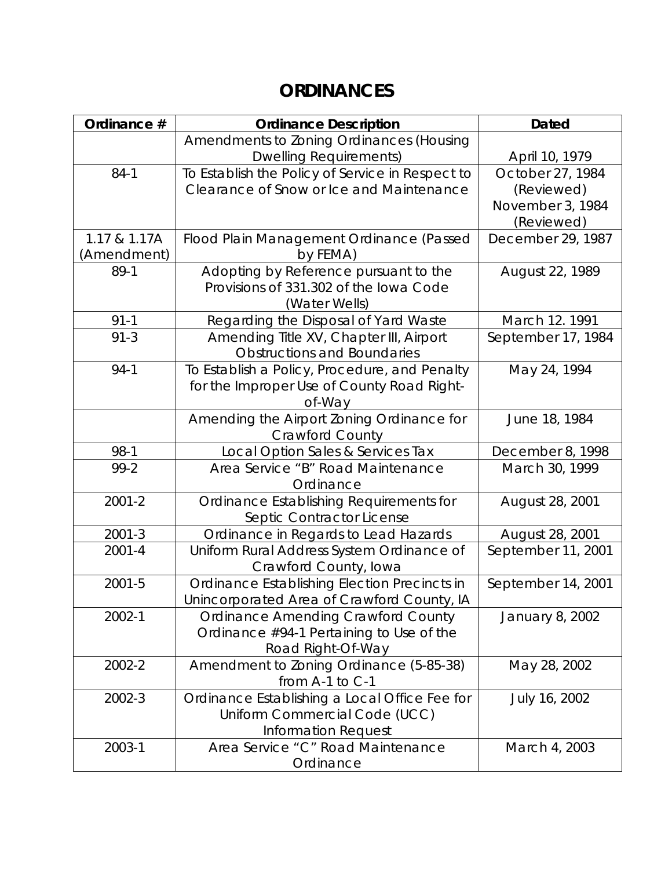## **ORDINANCES**

| Ordinance #  | <b>Ordinance Description</b>                                                                                 | <b>Dated</b>                                                     |
|--------------|--------------------------------------------------------------------------------------------------------------|------------------------------------------------------------------|
|              | Amendments to Zoning Ordinances (Housing                                                                     |                                                                  |
|              | <b>Dwelling Requirements)</b>                                                                                | April 10, 1979                                                   |
| $84-1$       | To Establish the Policy of Service in Respect to<br>Clearance of Snow or Ice and Maintenance                 | October 27, 1984<br>(Reviewed)<br>November 3, 1984<br>(Reviewed) |
| 1.17 & 1.17A | Flood Plain Management Ordinance (Passed                                                                     | December 29, 1987                                                |
| (Amendment)  | by FEMA)                                                                                                     |                                                                  |
| 89-1         | Adopting by Reference pursuant to the<br>Provisions of 331.302 of the lowa Code<br>(Water Wells)             | August 22, 1989                                                  |
| $91 - 1$     | Regarding the Disposal of Yard Waste                                                                         | March 12. 1991                                                   |
| $91 - 3$     | Amending Title XV, Chapter III, Airport<br><b>Obstructions and Boundaries</b>                                | September 17, 1984                                               |
| $94-1$       | To Establish a Policy, Procedure, and Penalty<br>for the Improper Use of County Road Right-<br>of-Way        | May 24, 1994                                                     |
|              | Amending the Airport Zoning Ordinance for<br><b>Crawford County</b>                                          | June 18, 1984                                                    |
| 98-1         | Local Option Sales & Services Tax                                                                            | December 8, 1998                                                 |
| $99 - 2$     | Area Service "B" Road Maintenance<br>Ordinance                                                               | March 30, 1999                                                   |
| $2001 - 2$   | Ordinance Establishing Requirements for<br>Septic Contractor License                                         | August 28, 2001                                                  |
| $2001 - 3$   | Ordinance in Regards to Lead Hazards                                                                         | August 28, 2001                                                  |
| $2001 - 4$   | Uniform Rural Address System Ordinance of<br>Crawford County, Iowa                                           | September 11, 2001                                               |
| 2001-5       | Ordinance Establishing Election Precincts in<br>Unincorporated Area of Crawford County, IA                   | September 14, 2001                                               |
| 2002-1       | <b>Ordinance Amending Crawford County</b><br>Ordinance #94-1 Pertaining to Use of the<br>Road Right-Of-Way   | January 8, 2002                                                  |
| 2002-2       | Amendment to Zoning Ordinance (5-85-38)<br>from A-1 to C-1                                                   | May 28, 2002                                                     |
| 2002-3       | Ordinance Establishing a Local Office Fee for<br>Uniform Commercial Code (UCC)<br><b>Information Request</b> | July 16, 2002                                                    |
| 2003-1       | Area Service "C" Road Maintenance<br>Ordinance                                                               | March 4, 2003                                                    |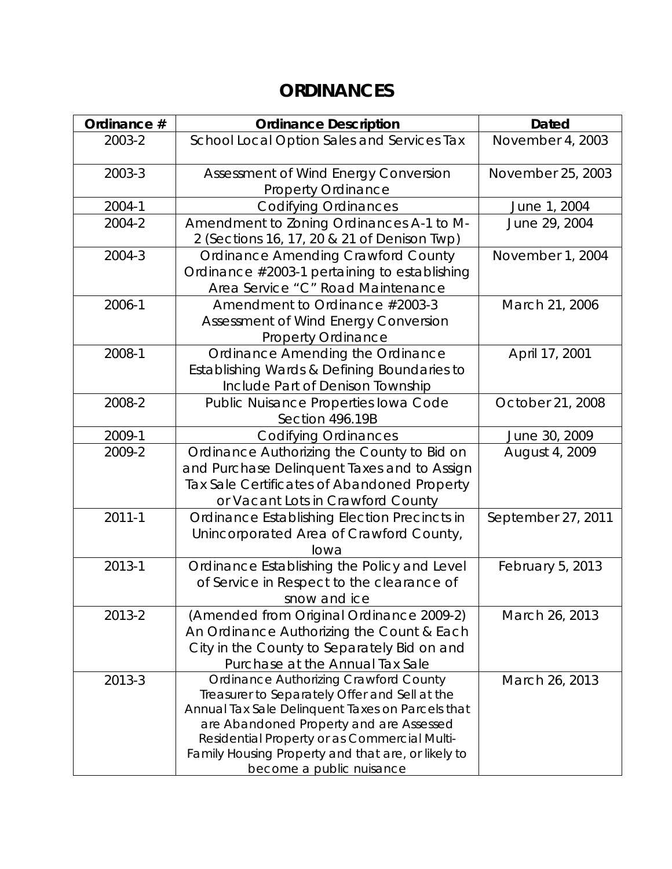## **ORDINANCES**

| Ordinance # | <b>Ordinance Description</b>                                                                                                                                                                                                                                                                                                   | <b>Dated</b>       |
|-------------|--------------------------------------------------------------------------------------------------------------------------------------------------------------------------------------------------------------------------------------------------------------------------------------------------------------------------------|--------------------|
| 2003-2      | School Local Option Sales and Services Tax                                                                                                                                                                                                                                                                                     | November 4, 2003   |
| 2003-3      | Assessment of Wind Energy Conversion<br><b>Property Ordinance</b>                                                                                                                                                                                                                                                              | November 25, 2003  |
| 2004-1      | <b>Codifying Ordinances</b>                                                                                                                                                                                                                                                                                                    | June 1, 2004       |
| 2004-2      | Amendment to Zoning Ordinances A-1 to M-<br>2 (Sections 16, 17, 20 & 21 of Denison Twp)                                                                                                                                                                                                                                        | June 29, 2004      |
| 2004-3      | <b>Ordinance Amending Crawford County</b><br>Ordinance #2003-1 pertaining to establishing<br>Area Service "C" Road Maintenance                                                                                                                                                                                                 | November 1, 2004   |
| 2006-1      | Amendment to Ordinance #2003-3<br>Assessment of Wind Energy Conversion<br><b>Property Ordinance</b>                                                                                                                                                                                                                            | March 21, 2006     |
| 2008-1      | Ordinance Amending the Ordinance<br>Establishing Wards & Defining Boundaries to<br>Include Part of Denison Township                                                                                                                                                                                                            | April 17, 2001     |
| 2008-2      | Public Nuisance Properties Iowa Code<br>Section 496.19B                                                                                                                                                                                                                                                                        | October 21, 2008   |
| 2009-1      | <b>Codifying Ordinances</b>                                                                                                                                                                                                                                                                                                    | June 30, 2009      |
| 2009-2      | Ordinance Authorizing the County to Bid on<br>and Purchase Delinquent Taxes and to Assign<br>Tax Sale Certificates of Abandoned Property<br>or Vacant Lots in Crawford County                                                                                                                                                  | August 4, 2009     |
| $2011 - 1$  | Ordinance Establishing Election Precincts in<br>Unincorporated Area of Crawford County,<br>lowa                                                                                                                                                                                                                                | September 27, 2011 |
| 2013-1      | Ordinance Establishing the Policy and Level<br>of Service in Respect to the clearance of<br>snow and ice                                                                                                                                                                                                                       | February 5, 2013   |
| 2013-2      | (Amended from Original Ordinance 2009-2)<br>An Ordinance Authorizing the Count & Each<br>City in the County to Separately Bid on and<br>Purchase at the Annual Tax Sale                                                                                                                                                        | March 26, 2013     |
| 2013-3      | <b>Ordinance Authorizing Crawford County</b><br>Treasurer to Separately Offer and Sell at the<br>Annual Tax Sale Delinquent Taxes on Parcels that<br>are Abandoned Property and are Assessed<br>Residential Property or as Commercial Multi-<br>Family Housing Property and that are, or likely to<br>become a public nuisance | March 26, 2013     |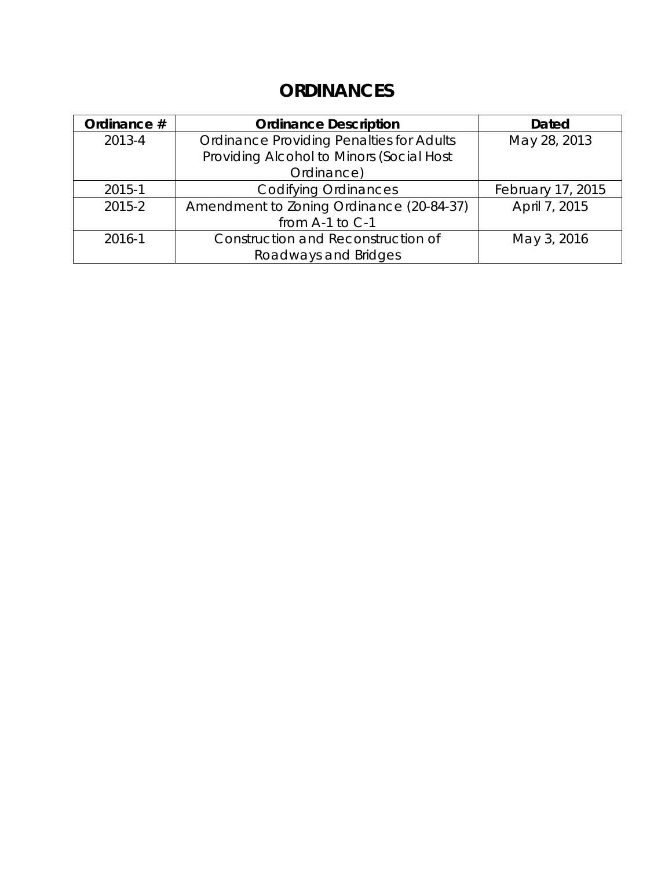## **ORDINANCES**

| Ordinance # | <b>Ordinance Description</b>                    | <b>Dated</b>      |
|-------------|-------------------------------------------------|-------------------|
| 2013-4      | <b>Ordinance Providing Penalties for Adults</b> | May 28, 2013      |
|             | Providing Alcohol to Minors (Social Host        |                   |
|             | Ordinance)                                      |                   |
| 2015-1      | <b>Codifying Ordinances</b>                     | February 17, 2015 |
| 2015-2      | Amendment to Zoning Ordinance (20-84-37)        | April 7, 2015     |
|             | from A-1 to C-1                                 |                   |
| 2016-1      | Construction and Reconstruction of              | May 3, 2016       |
|             | Roadways and Bridges                            |                   |